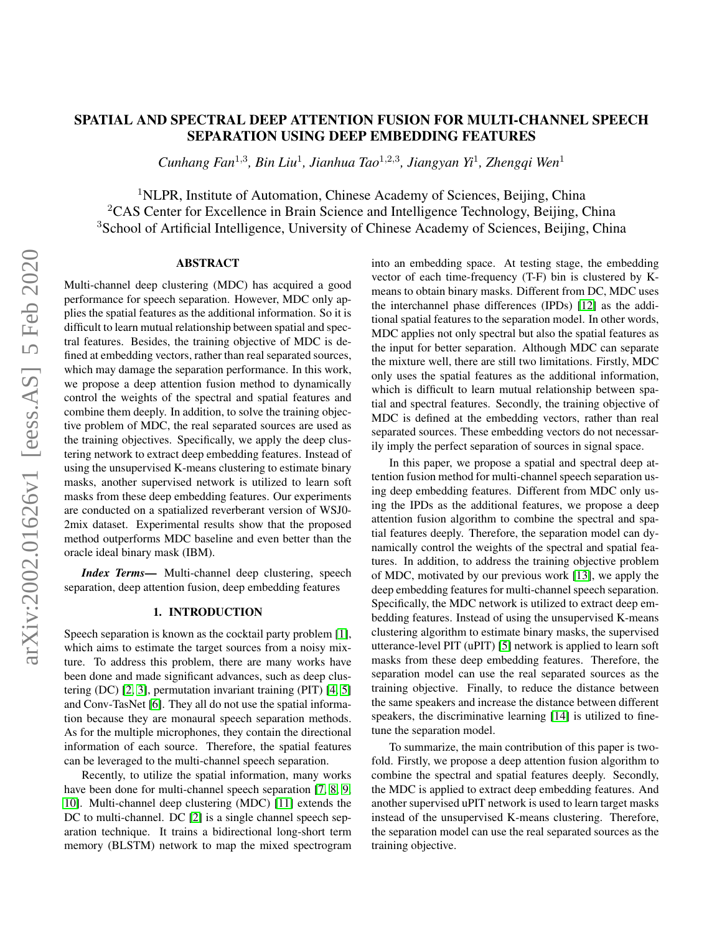# arXiv:2002.01626v1 [eess.AS] 5 Feb 2020 arXiv:2002.01626v1 [eess.AS] 5 Feb 2020

# SPATIAL AND SPECTRAL DEEP ATTENTION FUSION FOR MULTI-CHANNEL SPEECH SEPARATION USING DEEP EMBEDDING FEATURES

*Cunhang Fan*<sup>1</sup>,<sup>3</sup> *, Bin Liu*<sup>1</sup> *, Jianhua Tao*<sup>1</sup>,2,<sup>3</sup> *, Jiangyan Yi*<sup>1</sup> *, Zhengqi Wen*<sup>1</sup>

<sup>1</sup>NLPR, Institute of Automation, Chinese Academy of Sciences, Beijing, China

<sup>2</sup>CAS Center for Excellence in Brain Science and Intelligence Technology, Beijing, China  $3$ School of Artificial Intelligence, University of Chinese Academy of Sciences, Beijing, China

# ABSTRACT

Multi-channel deep clustering (MDC) has acquired a good performance for speech separation. However, MDC only applies the spatial features as the additional information. So it is difficult to learn mutual relationship between spatial and spectral features. Besides, the training objective of MDC is defined at embedding vectors, rather than real separated sources, which may damage the separation performance. In this work, we propose a deep attention fusion method to dynamically control the weights of the spectral and spatial features and combine them deeply. In addition, to solve the training objective problem of MDC, the real separated sources are used as the training objectives. Specifically, we apply the deep clustering network to extract deep embedding features. Instead of using the unsupervised K-means clustering to estimate binary masks, another supervised network is utilized to learn soft masks from these deep embedding features. Our experiments are conducted on a spatialized reverberant version of WSJ0- 2mix dataset. Experimental results show that the proposed method outperforms MDC baseline and even better than the oracle ideal binary mask (IBM).

*Index Terms*— Multi-channel deep clustering, speech separation, deep attention fusion, deep embedding features

### 1. INTRODUCTION

Speech separation is known as the cocktail party problem [\[1\]](#page-4-0), which aims to estimate the target sources from a noisy mixture. To address this problem, there are many works have been done and made significant advances, such as deep clustering (DC) [\[2,](#page-4-1) [3\]](#page-4-2), permutation invariant training (PIT) [\[4,](#page-4-3) [5\]](#page-4-4) and Conv-TasNet [\[6\]](#page-4-5). They all do not use the spatial information because they are monaural speech separation methods. As for the multiple microphones, they contain the directional information of each source. Therefore, the spatial features can be leveraged to the multi-channel speech separation.

Recently, to utilize the spatial information, many works have been done for multi-channel speech separation [\[7,](#page-4-6) [8,](#page-4-7) [9,](#page-4-8) [10\]](#page-4-9). Multi-channel deep clustering (MDC) [\[11\]](#page-4-10) extends the DC to multi-channel. DC [\[2\]](#page-4-1) is a single channel speech separation technique. It trains a bidirectional long-short term memory (BLSTM) network to map the mixed spectrogram

into an embedding space. At testing stage, the embedding vector of each time-frequency (T-F) bin is clustered by Kmeans to obtain binary masks. Different from DC, MDC uses the interchannel phase differences (IPDs) [\[12\]](#page-4-11) as the additional spatial features to the separation model. In other words, MDC applies not only spectral but also the spatial features as the input for better separation. Although MDC can separate the mixture well, there are still two limitations. Firstly, MDC only uses the spatial features as the additional information, which is difficult to learn mutual relationship between spatial and spectral features. Secondly, the training objective of MDC is defined at the embedding vectors, rather than real separated sources. These embedding vectors do not necessarily imply the perfect separation of sources in signal space.

In this paper, we propose a spatial and spectral deep attention fusion method for multi-channel speech separation using deep embedding features. Different from MDC only using the IPDs as the additional features, we propose a deep attention fusion algorithm to combine the spectral and spatial features deeply. Therefore, the separation model can dynamically control the weights of the spectral and spatial features. In addition, to address the training objective problem of MDC, motivated by our previous work [\[13\]](#page-4-12), we apply the deep embedding features for multi-channel speech separation. Specifically, the MDC network is utilized to extract deep embedding features. Instead of using the unsupervised K-means clustering algorithm to estimate binary masks, the supervised utterance-level PIT (uPIT) [\[5\]](#page-4-4) network is applied to learn soft masks from these deep embedding features. Therefore, the separation model can use the real separated sources as the training objective. Finally, to reduce the distance between the same speakers and increase the distance between different speakers, the discriminative learning [\[14\]](#page-4-13) is utilized to finetune the separation model.

To summarize, the main contribution of this paper is twofold. Firstly, we propose a deep attention fusion algorithm to combine the spectral and spatial features deeply. Secondly, the MDC is applied to extract deep embedding features. And another supervised uPIT network is used to learn target masks instead of the unsupervised K-means clustering. Therefore, the separation model can use the real separated sources as the training objective.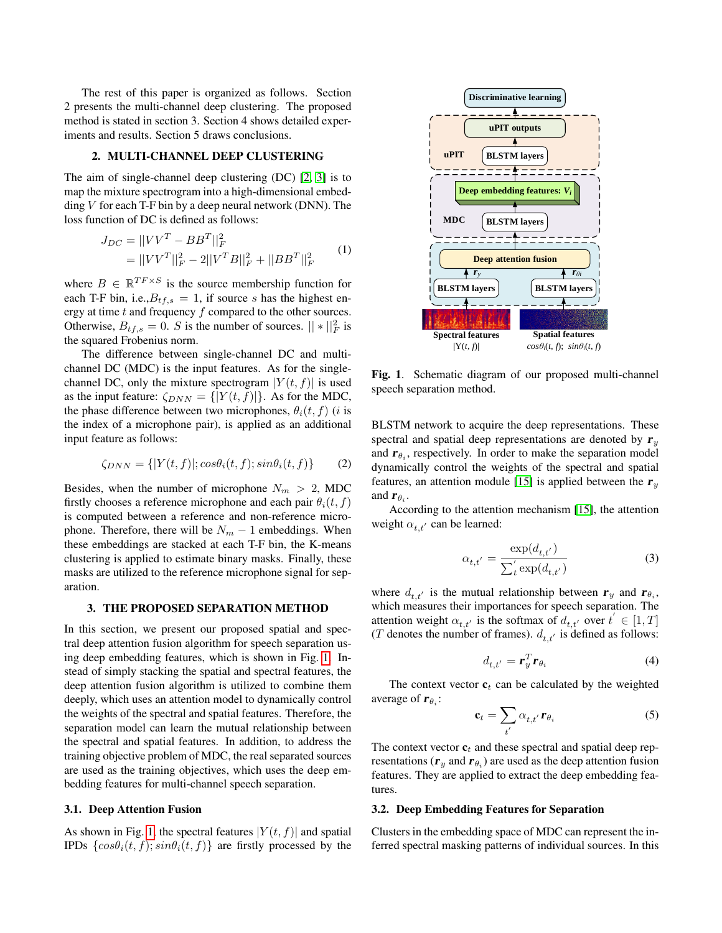The rest of this paper is organized as follows. Section 2 presents the multi-channel deep clustering. The proposed method is stated in section 3. Section 4 shows detailed experiments and results. Section 5 draws conclusions.

# 2. MULTI-CHANNEL DEEP CLUSTERING

The aim of single-channel deep clustering (DC) [\[2,](#page-4-1) [3\]](#page-4-2) is to map the mixture spectrogram into a high-dimensional embedding  $V$  for each T-F bin by a deep neural network (DNN). The loss function of DC is defined as follows:

$$
J_{DC} = ||VV^T - BB^T||_F^2
$$
  
= 
$$
||VV^T||_F^2 - 2||V^T B||_F^2 + ||BB^T||_F^2
$$
 (1)

where  $B \in \mathbb{R}^{TF \times S}$  is the source membership function for each T-F bin, i.e., $B_{tf,s} = 1$ , if source s has the highest energy at time  $t$  and frequency  $f$  compared to the other sources. Otherwise,  $B_{tf,s} = 0$ . S is the number of sources.  $|| * ||_F^2$  is the squared Frobenius norm.

The difference between single-channel DC and multichannel DC (MDC) is the input features. As for the singlechannel DC, only the mixture spectrogram  $|Y(t, f)|$  is used as the input feature:  $\zeta_{DNN} = \{ |Y(t,f)| \}$ . As for the MDC, the phase difference between two microphones,  $\theta_i(t, f)$  (*i* is the index of a microphone pair), is applied as an additional input feature as follows:

$$
\zeta_{DNN} = \{ |Y(t,f)|; \cos\theta_i(t,f); \sin\theta_i(t,f) \} \tag{2}
$$

Besides, when the number of microphone  $N_m > 2$ , MDC firstly chooses a reference microphone and each pair  $\theta_i(t, f)$ is computed between a reference and non-reference microphone. Therefore, there will be  $N_m - 1$  embeddings. When these embeddings are stacked at each T-F bin, the K-means clustering is applied to estimate binary masks. Finally, these masks are utilized to the reference microphone signal for separation.

### 3. THE PROPOSED SEPARATION METHOD

In this section, we present our proposed spatial and spectral deep attention fusion algorithm for speech separation using deep embedding features, which is shown in Fig. [1.](#page-1-0) Instead of simply stacking the spatial and spectral features, the deep attention fusion algorithm is utilized to combine them deeply, which uses an attention model to dynamically control the weights of the spectral and spatial features. Therefore, the separation model can learn the mutual relationship between the spectral and spatial features. In addition, to address the training objective problem of MDC, the real separated sources are used as the training objectives, which uses the deep embedding features for multi-channel speech separation.

# 3.1. Deep Attention Fusion

As shown in Fig. [1,](#page-1-0) the spectral features  $|Y(t, f)|$  and spatial IPDs  $\{cos\theta_i(t, f); sin\theta_i(t, f)\}$  are firstly processed by the



<span id="page-1-0"></span>Fig. 1. Schematic diagram of our proposed multi-channel speech separation method.

BLSTM network to acquire the deep representations. These spectral and spatial deep representations are denoted by  $r_y$ and  $\mathbf{r}_{\theta_i}$ , respectively. In order to make the separation model dynamically control the weights of the spectral and spatial features, an attention module [\[15\]](#page-4-14) is applied between the  $r_y$ and  $\mathbf{r}_{\theta_i}$ .

According to the attention mechanism [\[15\]](#page-4-14), the attention weight  $\alpha_{t,t'}$  can be learned:

$$
\alpha_{t,t'} = \frac{\exp(d_{t,t'})}{\sum_{t}^{'} \exp(d_{t,t'})}
$$
\n(3)

where  $d_{t,t'}$  is the mutual relationship between  $\mathbf{r}_y$  and  $\mathbf{r}_{\theta_i}$ , which measures their importances for speech separation. The attention weight  $\alpha_{t,t'}$  is the softmax of  $d_{t,t'}$  over  $t' \in [1, T]$ (T denotes the number of frames).  $d_{t,t'}$  is defined as follows:

$$
d_{t,t'} = \mathbf{r}_y^T \mathbf{r}_{\theta_i} \tag{4}
$$

The context vector  $c_t$  can be calculated by the weighted average of  $\mathbf{r}_{\theta_i}$ :

$$
\mathbf{c}_t = \sum_{t'} \alpha_{t,t'} \mathbf{r}_{\theta_i} \tag{5}
$$

The context vector  $c_t$  and these spectral and spatial deep representations ( $\mathbf{r}_y$  and  $\mathbf{r}_{\theta_i}$ ) are used as the deep attention fusion features. They are applied to extract the deep embedding features.

# 3.2. Deep Embedding Features for Separation

Clusters in the embedding space of MDC can represent the inferred spectral masking patterns of individual sources. In this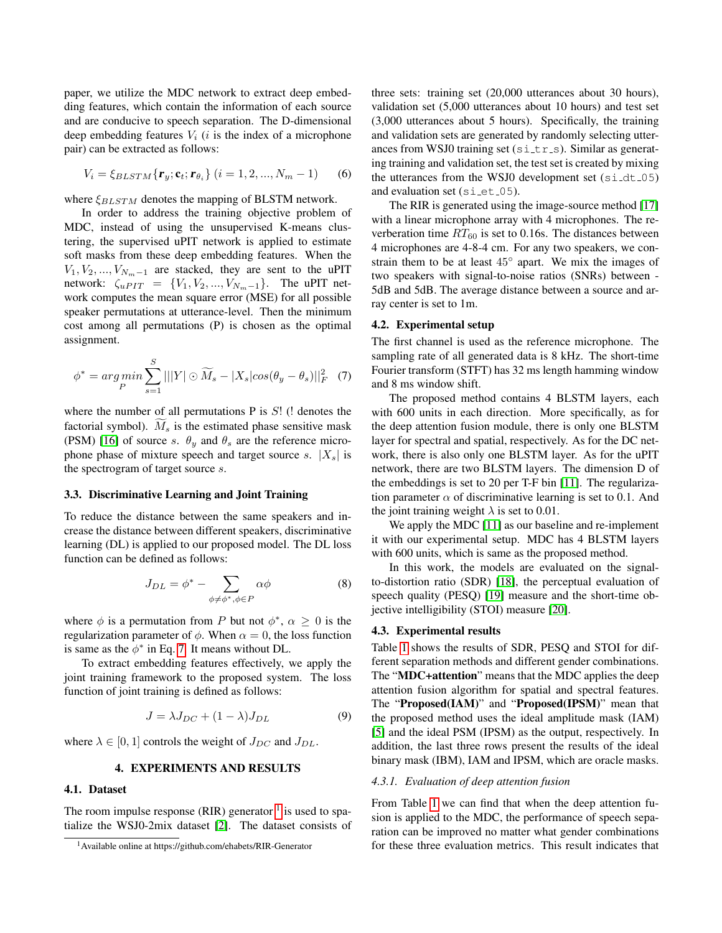paper, we utilize the MDC network to extract deep embedding features, which contain the information of each source and are conducive to speech separation. The D-dimensional deep embedding features  $V_i$  (i is the index of a microphone pair) can be extracted as follows:

$$
V_i = \xi_{BLSTM}\{\mathbf{r}_y; \mathbf{c}_t; \mathbf{r}_{\theta_i}\} \ (i = 1, 2, ..., N_m - 1)
$$
 (6)

where  $\xi_{BLSTM}$  denotes the mapping of BLSTM network.

In order to address the training objective problem of MDC, instead of using the unsupervised K-means clustering, the supervised uPIT network is applied to estimate soft masks from these deep embedding features. When the  $V_1, V_2, ..., V_{N_m-1}$  are stacked, they are sent to the uPIT network:  $\zeta_{uPIT} = \{V_1, V_2, ..., V_{N_m-1}\}.$  The uPIT network computes the mean square error (MSE) for all possible speaker permutations at utterance-level. Then the minimum cost among all permutations (P) is chosen as the optimal assignment.

<span id="page-2-0"></span>
$$
\phi^* = \underset{P}{\arg\min} \sum_{s=1}^{S} |||Y| \odot \widetilde{M}_s - |X_s| \cos(\theta_y - \theta_s)||_F^2 \quad (7)
$$

where the number of all permutations  $P$  is  $S!$  (! denotes the factorial symbol).  $M_s$  is the estimated phase sensitive mask (PSM) [\[16\]](#page-4-15) of source s.  $\theta_y$  and  $\theta_s$  are the reference microphone phase of mixture speech and target source s.  $|X_s|$  is the spectrogram of target source s.

### 3.3. Discriminative Learning and Joint Training

To reduce the distance between the same speakers and increase the distance between different speakers, discriminative learning (DL) is applied to our proposed model. The DL loss function can be defined as follows:

$$
J_{DL} = \phi^* - \sum_{\phi \neq \phi^*, \phi \in P} \alpha \phi \tag{8}
$$

where  $\phi$  is a permutation from P but not  $\phi^*$ ,  $\alpha \geq 0$  is the regularization parameter of  $\phi$ . When  $\alpha = 0$ , the loss function is same as the  $\phi^*$  in Eq. [7.](#page-2-0) It means without DL.

To extract embedding features effectively, we apply the joint training framework to the proposed system. The loss function of joint training is defined as follows:

$$
J = \lambda J_{DC} + (1 - \lambda)J_{DL} \tag{9}
$$

where  $\lambda \in [0, 1]$  controls the weight of  $J_{DC}$  and  $J_{DL}$ .

### 4. EXPERIMENTS AND RESULTS

### 4.1. Dataset

The room impulse response (RIR) generator  $1$  is used to spatialize the WSJ0-2mix dataset [\[2\]](#page-4-1). The dataset consists of three sets: training set (20,000 utterances about 30 hours), validation set (5,000 utterances about 10 hours) and test set (3,000 utterances about 5 hours). Specifically, the training and validation sets are generated by randomly selecting utterances from WSJ0 training set  $(sistr_s)$ . Similar as generating training and validation set, the test set is created by mixing the utterances from the WSJ0 development set  $(s_i \text{id} \text{d} t_0)$ and evaluation set  $(si-et.05)$ .

The RIR is generated using the image-source method [\[17\]](#page-4-16) with a linear microphone array with 4 microphones. The reverberation time  $RT_{60}$  is set to 0.16s. The distances between 4 microphones are 4-8-4 cm. For any two speakers, we constrain them to be at least  $45^{\circ}$  apart. We mix the images of two speakers with signal-to-noise ratios (SNRs) between - 5dB and 5dB. The average distance between a source and array center is set to 1m.

### 4.2. Experimental setup

The first channel is used as the reference microphone. The sampling rate of all generated data is 8 kHz. The short-time Fourier transform (STFT) has 32 ms length hamming window and 8 ms window shift.

The proposed method contains 4 BLSTM layers, each with 600 units in each direction. More specifically, as for the deep attention fusion module, there is only one BLSTM layer for spectral and spatial, respectively. As for the DC network, there is also only one BLSTM layer. As for the uPIT network, there are two BLSTM layers. The dimension D of the embeddings is set to 20 per T-F bin [\[11\]](#page-4-10). The regularization parameter  $\alpha$  of discriminative learning is set to 0.1. And the joint training weight  $\lambda$  is set to 0.01.

We apply the MDC [\[11\]](#page-4-10) as our baseline and re-implement it with our experimental setup. MDC has 4 BLSTM layers with 600 units, which is same as the proposed method.

In this work, the models are evaluated on the signalto-distortion ratio (SDR) [\[18\]](#page-4-17), the perceptual evaluation of speech quality (PESQ) [\[19\]](#page-4-18) measure and the short-time objective intelligibility (STOI) measure [\[20\]](#page-4-19).

### 4.3. Experimental results

Table [1](#page-3-0) shows the results of SDR, PESQ and STOI for different separation methods and different gender combinations. The "MDC+attention" means that the MDC applies the deep attention fusion algorithm for spatial and spectral features. The "Proposed(IAM)" and "Proposed(IPSM)" mean that the proposed method uses the ideal amplitude mask (IAM) [\[5\]](#page-4-4) and the ideal PSM (IPSM) as the output, respectively. In addition, the last three rows present the results of the ideal binary mask (IBM), IAM and IPSM, which are oracle masks.

### *4.3.1. Evaluation of deep attention fusion*

From Table [1](#page-3-0) we can find that when the deep attention fusion is applied to the MDC, the performance of speech separation can be improved no matter what gender combinations for these three evaluation metrics. This result indicates that

<span id="page-2-1"></span><sup>1</sup>Available online at https://github.com/ehabets/RIR-Generator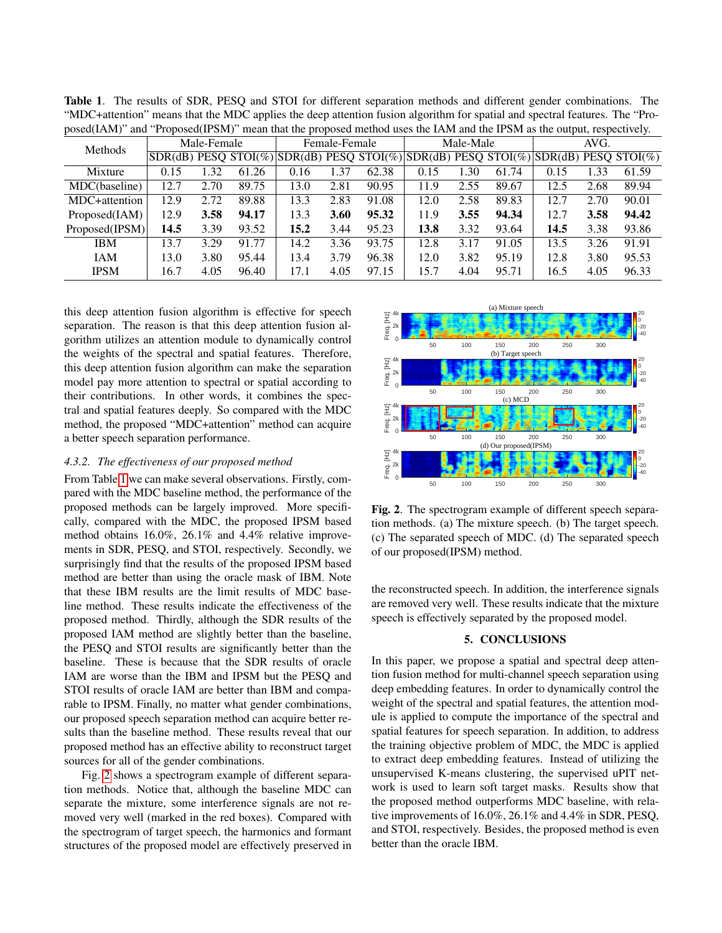| $p \cup \cup \{u, u, u, v\}$<br>$\cdots$<br>Tropobed in only mean that the propobed method abob the fixed the in one as output, respectively. |      |       |               |      |       |           |      |       |      |      |                                                                                       |
|-----------------------------------------------------------------------------------------------------------------------------------------------|------|-------|---------------|------|-------|-----------|------|-------|------|------|---------------------------------------------------------------------------------------|
| Male-Female                                                                                                                                   |      |       | Female-Female |      |       | Male-Male |      |       | AVG. |      |                                                                                       |
|                                                                                                                                               |      |       |               |      |       |           |      |       |      |      |                                                                                       |
| 0.15                                                                                                                                          | 1.32 | 61.26 | 0.16          | 1.37 | 62.38 | 0.15      | 1.30 | 61.74 | 0.15 | 1.33 | 61.59                                                                                 |
| 12.7                                                                                                                                          | 2.70 | 89.75 | 13.0          | 2.81 | 90.95 | 11.9      | 2.55 | 89.67 | 12.5 | 2.68 | 89.94                                                                                 |
| 12.9                                                                                                                                          | 2.72 | 89.88 | 13.3          | 2.83 | 91.08 | 12.0      | 2.58 | 89.83 | 12.7 | 2.70 | 90.01                                                                                 |
| 12.9                                                                                                                                          | 3.58 | 94.17 | 13.3          | 3.60 | 95.32 | 11.9      | 3.55 | 94.34 | 12.7 | 3.58 | 94.42                                                                                 |
| 14.5                                                                                                                                          | 3.39 | 93.52 | 15.2          | 3.44 | 95.23 | 13.8      | 3.32 | 93.64 | 14.5 | 3.38 | 93.86                                                                                 |
| 13.7                                                                                                                                          | 3.29 | 91.77 | 14.2          | 3.36 | 93.75 | 12.8      | 3.17 | 91.05 | 13.5 | 3.26 | 91.91                                                                                 |
| 13.0                                                                                                                                          | 3.80 | 95.44 | 13.4          | 3.79 | 96.38 | 12.0      | 3.82 | 95.19 | 12.8 | 3.80 | 95.53                                                                                 |
| 16.7                                                                                                                                          | 4.05 | 96.40 | 17.1          | 4.05 | 97.15 | 15.7      | 4.04 | 95.71 | 16.5 | 4.05 | 96.33                                                                                 |
|                                                                                                                                               |      |       |               |      |       |           |      |       |      |      | $SDR(dB)$ PESO STOI(%) SDR(dB) PESO STOI(%) SDR(dB) PESO STOI(%) SDR(dB) PESO STOI(%) |

<span id="page-3-0"></span>Table 1. The results of SDR, PESQ and STOI for different separation methods and different gender combinations. The "MDC+attention" means that the MDC applies the deep attention fusion algorithm for spatial and spectral features. The "Proposed(IAM)" and "Proposed(IPSM)" mean that the proposed method uses the IAM and the IPSM as the output, respectively.

this deep attention fusion algorithm is effective for speech separation. The reason is that this deep attention fusion algorithm utilizes an attention module to dynamically control the weights of the spectral and spatial features. Therefore, this deep attention fusion algorithm can make the separation model pay more attention to spectral or spatial according to their contributions. In other words, it combines the spectral and spatial features deeply. So compared with the MDC method, the proposed "MDC+attention" method can acquire a better speech separation performance.

### *4.3.2. The effectiveness of our proposed method*

From Table [1](#page-3-0) we can make several observations. Firstly, compared with the MDC baseline method, the performance of the proposed methods can be largely improved. More specifically, compared with the MDC, the proposed IPSM based method obtains 16.0%, 26.1% and 4.4% relative improvements in SDR, PESQ, and STOI, respectively. Secondly, we surprisingly find that the results of the proposed IPSM based method are better than using the oracle mask of IBM. Note that these IBM results are the limit results of MDC baseline method. These results indicate the effectiveness of the proposed method. Thirdly, although the SDR results of the proposed IAM method are slightly better than the baseline, the PESQ and STOI results are significantly better than the baseline. These is because that the SDR results of oracle IAM are worse than the IBM and IPSM but the PESQ and STOI results of oracle IAM are better than IBM and comparable to IPSM. Finally, no matter what gender combinations, our proposed speech separation method can acquire better results than the baseline method. These results reveal that our proposed method has an effective ability to reconstruct target sources for all of the gender combinations.

Fig. [2](#page-3-1) shows a spectrogram example of different separation methods. Notice that, although the baseline MDC can separate the mixture, some interference signals are not removed very well (marked in the red boxes). Compared with the spectrogram of target speech, the harmonics and formant structures of the proposed model are effectively preserved in



<span id="page-3-1"></span>Fig. 2. The spectrogram example of different speech separation methods. (a) The mixture speech. (b) The target speech. (c) The separated speech of MDC. (d) The separated speech of our proposed(IPSM) method.

the reconstructed speech. In addition, the interference signals are removed very well. These results indicate that the mixture speech is effectively separated by the proposed model.

### 5. CONCLUSIONS

In this paper, we propose a spatial and spectral deep attention fusion method for multi-channel speech separation using deep embedding features. In order to dynamically control the weight of the spectral and spatial features, the attention module is applied to compute the importance of the spectral and spatial features for speech separation. In addition, to address the training objective problem of MDC, the MDC is applied to extract deep embedding features. Instead of utilizing the unsupervised K-means clustering, the supervised uPIT network is used to learn soft target masks. Results show that the proposed method outperforms MDC baseline, with relative improvements of 16.0%, 26.1% and 4.4% in SDR, PESQ, and STOI, respectively. Besides, the proposed method is even better than the oracle IBM.